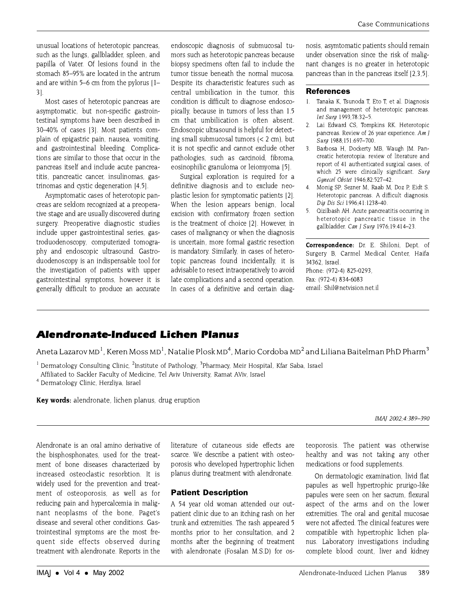## **Alendronate-Induced Lichen Planus**

Alendronate-Induced Lichen Planus Aneta Lazarov MD<sub>1</sub>, Keren Moss MD<sub>1</sub>, Natalie Plosk MD<sub>1</sub>, Mario Cordoba MD<sub>2</sub> and Liliana Baitelman PhD Pharm3<br>3- And Lilian Service Street World And Cordoba MD<sub>2</sub> and Liliana Baitelman PhD Pharm

Dermatology Consulting Clinic, "institute of Pathology," Pharmacy, Mell Hospital, Kiar Saba, Israel<br>- Affiliated to Sackler Faculty of Medicine. Tel Aviv University. Pamat AViv. Israel

4 Dermatology Clinic, Herzliya, Israel

Key words: alendronate, lichen planus, drug eruption

IMAJ 2002;4:389±390

Alendronate is an oral amino derivative of the bisphosphonates, used for the treatment of bone diseases characterized by increased osteoclastic resorbtion It is widely used for the prevention and treatment of osteoporosis, as well as for reducing pain and hypercalcemia in malignant neoplasms of the bone, Paget's trointestinal symptoms are the most frequent side effects observed during quent side effects of the effects of the three transitions of the effects of the effects of the effects of the  $\frac{1}{2}$ treatment with alendronate. Reports in the

literature of cutaneous side effects are scarce. We describe a patient with osteoporosis who developed hypertrophic lichen portion who developed hypertrophic liquid hypertrophic liquid and the problem of a liquid state of the state of the state of the state of the state of the state of the state of the state of the state of the state of the st  $\mathfrak{g}$  all treatment with all treatment with all treatment with all treatment with all treatment  $\mathfrak{g}$ 

**Patient Description**<br>A 54 year old woman attended our outpatient clinic due to an itching rash on her trunk and extremities. The rash appeared 5 months prior to her consultation, and 2 months after the beginning of treatment with alendronate (Fosalan M.S.D) for oswith algorithm  $\sum_{i=1}^n$  (Fosalan M.S.D) for  $\sum_{i=1}^n$ 

teoporosis. The patient was otherwise<br>healthy and was not taking any other medications or food supplements.

On dermatologic examination, livid flat papules as well hypertrophic prurigo-like papules were seen on her sacrum, flexural aspect of the arms and on the lower extremities. The oral and genital mucosae were not affected. The clinical features were compatible with hypertrophic lichen planus. Laboratory investigations including nus. Laboratory investigations including complete blood county, liver and kidney